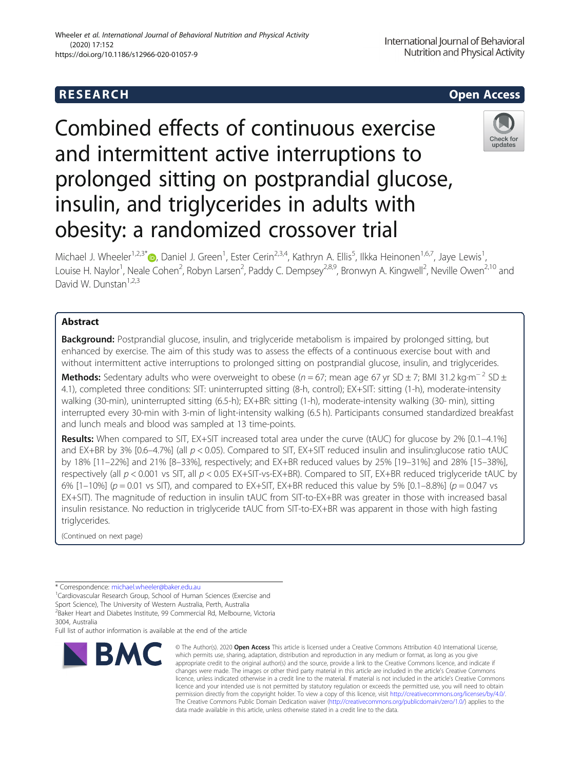### Wheeler et al. International Journal of Behavioral Nutrition and Physical Activity (2020) 17:152 https://doi.org/10.1186/s12966-020-01057-9

## **RESEARCH CHEAR CHEAR CHEAR CHEAR CHEAR CHEAR CHEAR CHEAR CHEAR CHEAR CHEAR CHEAR CHEAR CHEAR CHEAR CHEAR CHEAR**

# Combined effects of continuous exercise and intermittent active interruptions to prolonged sitting on postprandial glucose, insulin, and triglycerides in adults with obesity: a randomized crossover trial



Michael J. Wheeler<sup>1[,](http://orcid.org/0000-0002-7404-7069)2,3\*</sup>®, Daniel J. Green<sup>1</sup>, Ester Cerin<sup>2,3,4</sup>, Kathryn A. Ellis<sup>5</sup>, Ilkka Heinonen<sup>1,6,7</sup>, Jaye Lewis<sup>1</sup> , Louise H. Naylor<sup>1</sup>, Neale Cohen<sup>2</sup>, Robyn Larsen<sup>2</sup>, Paddy C. Dempsey<sup>2,8,9</sup>, Bronwyn A. Kingwell<sup>2</sup>, Neville Owen<sup>2,10</sup> and David W. Dunstan $1,2,3$ 

### Abstract

Background: Postprandial glucose, insulin, and triglyceride metabolism is impaired by prolonged sitting, but enhanced by exercise. The aim of this study was to assess the effects of a continuous exercise bout with and without intermittent active interruptions to prolonged sitting on postprandial glucose, insulin, and triglycerides.

Methods: Sedentary adults who were overweight to obese (n = 67; mean age 67 yr SD ± 7; BMI 31.2 kg⋅m<sup>-2</sup> SD ± 4.1), completed three conditions: SIT: uninterrupted sitting (8-h, control); EX+SIT: sitting (1-h), moderate-intensity walking (30-min), uninterrupted sitting (6.5-h); EX+BR: sitting (1-h), moderate-intensity walking (30- min), sitting interrupted every 30-min with 3-min of light-intensity walking (6.5 h). Participants consumed standardized breakfast and lunch meals and blood was sampled at 13 time-points.

Results: When compared to SIT, EX+SIT increased total area under the curve (tAUC) for glucose by 2% [0.1–4.1%] and EX+BR by 3%  $[0.6-4.7%]$  (all  $p < 0.05$ ). Compared to SIT, EX+SIT reduced insulin and insulin:glucose ratio tAUC by 18% [11–22%] and 21% [8–33%], respectively; and EX+BR reduced values by 25% [19–31%] and 28% [15–38%], respectively (all  $p < 0.001$  vs SIT, all  $p < 0.05$  EX+SIT-vs-EX+BR). Compared to SIT, EX+BR reduced triglyceride tAUC by 6% [1-10%] ( $p = 0.01$  vs SIT), and compared to EX+SIT, EX+BR reduced this value by 5% [0.1–8.8%] ( $p = 0.047$  vs EX+SIT). The magnitude of reduction in insulin tAUC from SIT-to-EX+BR was greater in those with increased basal insulin resistance. No reduction in triglyceride tAUC from SIT-to-EX+BR was apparent in those with high fasting triglycerides.

(Continued on next page)

<sup>1</sup>Cardiovascular Research Group, School of Human Sciences (Exercise and Sport Science), The University of Western Australia, Perth, Australia <sup>2</sup> Baker Heart and Diabetes Institute, 99 Commercial Rd, Melbourne, Victoria

3004, Australia

Full list of author information is available at the end of the article



<sup>©</sup> The Author(s), 2020 **Open Access** This article is licensed under a Creative Commons Attribution 4.0 International License, which permits use, sharing, adaptation, distribution and reproduction in any medium or format, as long as you give appropriate credit to the original author(s) and the source, provide a link to the Creative Commons licence, and indicate if changes were made. The images or other third party material in this article are included in the article's Creative Commons licence, unless indicated otherwise in a credit line to the material. If material is not included in the article's Creative Commons licence and your intended use is not permitted by statutory regulation or exceeds the permitted use, you will need to obtain permission directly from the copyright holder. To view a copy of this licence, visit [http://creativecommons.org/licenses/by/4.0/.](http://creativecommons.org/licenses/by/4.0/) The Creative Commons Public Domain Dedication waiver [\(http://creativecommons.org/publicdomain/zero/1.0/](http://creativecommons.org/publicdomain/zero/1.0/)) applies to the data made available in this article, unless otherwise stated in a credit line to the data.

<sup>\*</sup> Correspondence: [michael.wheeler@baker.edu.au](mailto:michael.wheeler@baker.edu.au) <sup>1</sup>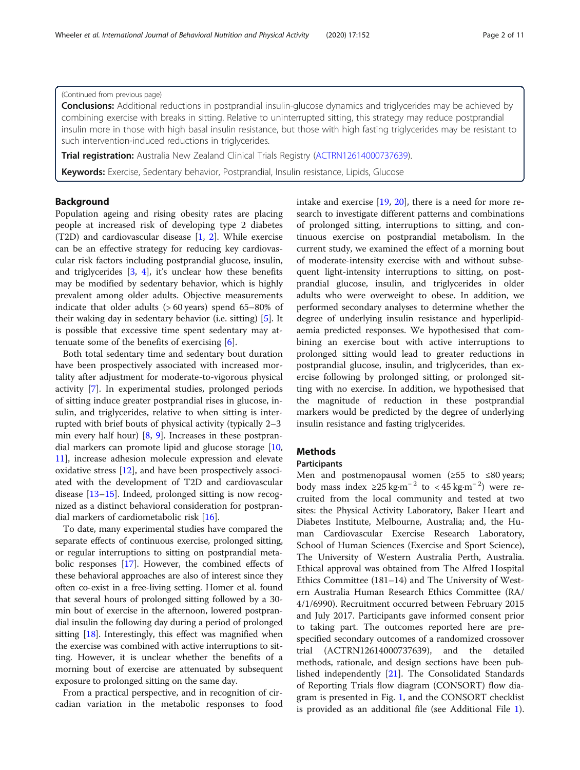### (Continued from previous page)

Conclusions: Additional reductions in postprandial insulin-glucose dynamics and triglycerides may be achieved by combining exercise with breaks in sitting. Relative to uninterrupted sitting, this strategy may reduce postprandial insulin more in those with high basal insulin resistance, but those with high fasting triglycerides may be resistant to such intervention-induced reductions in triglycerides.

**Trial registration:** Australia New Zealand Clinical Trials Registry [\(ACTRN12614000737639\)](https://www.anzctr.org.au/Trial/Registration/TrialReview.aspx?id=366476).

Keywords: Exercise, Sedentary behavior, Postprandial, Insulin resistance, Lipids, Glucose

### Background

Population ageing and rising obesity rates are placing people at increased risk of developing type 2 diabetes (T2D) and cardiovascular disease [[1](#page-9-0), [2\]](#page-9-0). While exercise can be an effective strategy for reducing key cardiovascular risk factors including postprandial glucose, insulin, and triglycerides [[3,](#page-9-0) [4](#page-10-0)], it's unclear how these benefits may be modified by sedentary behavior, which is highly prevalent among older adults. Objective measurements indicate that older adults (> 60 years) spend 65–80% of their waking day in sedentary behavior (i.e. sitting) [[5\]](#page-10-0). It is possible that excessive time spent sedentary may attenuate some of the benefits of exercising [\[6](#page-10-0)].

Both total sedentary time and sedentary bout duration have been prospectively associated with increased mortality after adjustment for moderate-to-vigorous physical activity [[7\]](#page-10-0). In experimental studies, prolonged periods of sitting induce greater postprandial rises in glucose, insulin, and triglycerides, relative to when sitting is interrupted with brief bouts of physical activity (typically 2–3 min every half hour) [\[8](#page-10-0), [9\]](#page-10-0). Increases in these postprandial markers can promote lipid and glucose storage [[10](#page-10-0), [11\]](#page-10-0), increase adhesion molecule expression and elevate oxidative stress [[12](#page-10-0)], and have been prospectively associated with the development of T2D and cardiovascular disease [[13](#page-10-0)–[15\]](#page-10-0). Indeed, prolonged sitting is now recognized as a distinct behavioral consideration for postprandial markers of cardiometabolic risk [\[16](#page-10-0)].

To date, many experimental studies have compared the separate effects of continuous exercise, prolonged sitting, or regular interruptions to sitting on postprandial metabolic responses [[17](#page-10-0)]. However, the combined effects of these behavioral approaches are also of interest since they often co-exist in a free-living setting. Homer et al. found that several hours of prolonged sitting followed by a 30 min bout of exercise in the afternoon, lowered postprandial insulin the following day during a period of prolonged sitting [\[18](#page-10-0)]. Interestingly, this effect was magnified when the exercise was combined with active interruptions to sitting. However, it is unclear whether the benefits of a morning bout of exercise are attenuated by subsequent exposure to prolonged sitting on the same day.

From a practical perspective, and in recognition of circadian variation in the metabolic responses to food intake and exercise [[19,](#page-10-0) [20\]](#page-10-0), there is a need for more research to investigate different patterns and combinations of prolonged sitting, interruptions to sitting, and continuous exercise on postprandial metabolism. In the current study, we examined the effect of a morning bout of moderate-intensity exercise with and without subsequent light-intensity interruptions to sitting, on postprandial glucose, insulin, and triglycerides in older adults who were overweight to obese. In addition, we performed secondary analyses to determine whether the degree of underlying insulin resistance and hyperlipidaemia predicted responses. We hypothesised that combining an exercise bout with active interruptions to prolonged sitting would lead to greater reductions in postprandial glucose, insulin, and triglycerides, than exercise following by prolonged sitting, or prolonged sitting with no exercise. In addition, we hypothesised that the magnitude of reduction in these postprandial markers would be predicted by the degree of underlying insulin resistance and fasting triglycerides.

### Methods

### Participants

Men and postmenopausal women ( $\geq 55$  to  $\leq 80$  years; body mass index ≥25 kg⋅m<sup>-2</sup> to < 45 kg⋅m<sup>-2</sup>) were recruited from the local community and tested at two sites: the Physical Activity Laboratory, Baker Heart and Diabetes Institute, Melbourne, Australia; and, the Human Cardiovascular Exercise Research Laboratory, School of Human Sciences (Exercise and Sport Science), The University of Western Australia Perth, Australia. Ethical approval was obtained from The Alfred Hospital Ethics Committee (181–14) and The University of Western Australia Human Research Ethics Committee (RA/ 4/1/6990). Recruitment occurred between February 2015 and July 2017. Participants gave informed consent prior to taking part. The outcomes reported here are prespecified secondary outcomes of a randomized crossover trial (ACTRN12614000737639), and the detailed methods, rationale, and design sections have been published independently [[21\]](#page-10-0). The Consolidated Standards of Reporting Trials flow diagram (CONSORT) flow diagram is presented in Fig. [1](#page-2-0), and the CONSORT checklist is provided as an additional file (see Additional File [1](#page-9-0)).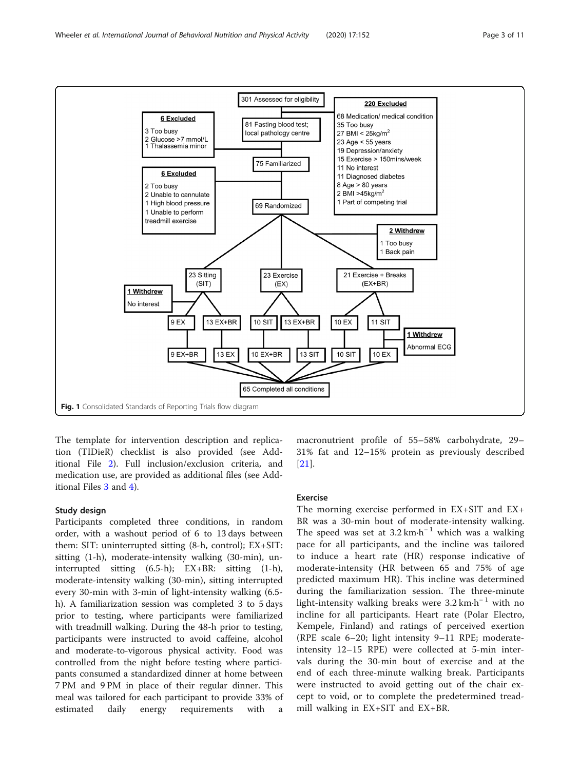<span id="page-2-0"></span>

The template for intervention description and replication (TIDieR) checklist is also provided (see Additional File [2](#page-9-0)). Full inclusion/exclusion criteria, and medication use, are provided as additional files (see Additional Files [3](#page-9-0) and [4](#page-9-0)).

### Study design

Participants completed three conditions, in random order, with a washout period of 6 to 13 days between them: SIT: uninterrupted sitting (8-h, control); EX+SIT: sitting (1-h), moderate-intensity walking (30-min), uninterrupted sitting (6.5-h); EX+BR: sitting (1-h), moderate-intensity walking (30-min), sitting interrupted every 30-min with 3-min of light-intensity walking (6.5 h). A familiarization session was completed 3 to 5 days prior to testing, where participants were familiarized with treadmill walking. During the 48-h prior to testing, participants were instructed to avoid caffeine, alcohol and moderate-to-vigorous physical activity. Food was controlled from the night before testing where participants consumed a standardized dinner at home between 7 PM and 9 PM in place of their regular dinner. This meal was tailored for each participant to provide 33% of estimated daily energy requirements with a

macronutrient profile of 55–58% carbohydrate, 29– 31% fat and 12–15% protein as previously described [[21\]](#page-10-0).

### Exercise

The morning exercise performed in EX+SIT and EX+ BR was a 30-min bout of moderate-intensity walking. The speed was set at  $3.2 \text{ km} \cdot \text{h}^{-1}$  which was a walking pace for all participants, and the incline was tailored to induce a heart rate (HR) response indicative of moderate-intensity (HR between 65 and 75% of age predicted maximum HR). This incline was determined during the familiarization session. The three-minute light-intensity walking breaks were  $3.2 \text{ km} \cdot \text{h}^{-1}$  with no incline for all participants. Heart rate (Polar Electro, Kempele, Finland) and ratings of perceived exertion (RPE scale 6–20; light intensity 9–11 RPE; moderateintensity 12–15 RPE) were collected at 5-min intervals during the 30-min bout of exercise and at the end of each three-minute walking break. Participants were instructed to avoid getting out of the chair except to void, or to complete the predetermined treadmill walking in EX+SIT and EX+BR.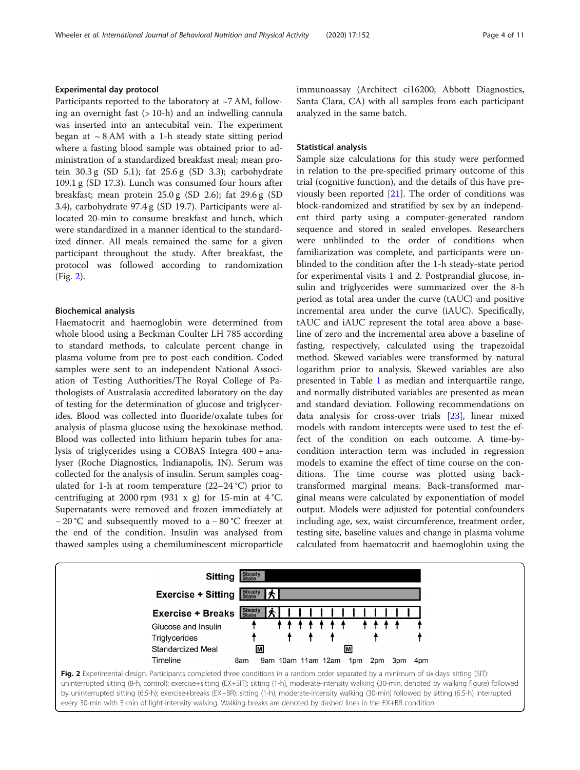Participants reported to the laboratory at ∼7 AM, following an overnight fast  $(> 10-h)$  and an indwelling cannula was inserted into an antecubital vein. The experiment began at  $\sim$  8 AM with a 1-h steady state sitting period where a fasting blood sample was obtained prior to administration of a standardized breakfast meal; mean protein 30.3 g (SD 5.1); fat 25.6 g (SD 3.3); carbohydrate 109.1 g (SD 17.3). Lunch was consumed four hours after breakfast; mean protein 25.0 g (SD 2.6); fat 29.6 g (SD 3.4), carbohydrate 97.4 g (SD 19.7). Participants were allocated 20-min to consume breakfast and lunch, which were standardized in a manner identical to the standardized dinner. All meals remained the same for a given participant throughout the study. After breakfast, the protocol was followed according to randomization (Fig. 2).

### Biochemical analysis

Haematocrit and haemoglobin were determined from whole blood using a Beckman Coulter LH 785 according to standard methods, to calculate percent change in plasma volume from pre to post each condition. Coded samples were sent to an independent National Association of Testing Authorities/The Royal College of Pathologists of Australasia accredited laboratory on the day of testing for the determination of glucose and triglycerides. Blood was collected into fluoride/oxalate tubes for analysis of plasma glucose using the hexokinase method. Blood was collected into lithium heparin tubes for analysis of triglycerides using a COBAS Integra 400 + analyser (Roche Diagnostics, Indianapolis, IN). Serum was collected for the analysis of insulin. Serum samples coagulated for 1-h at room temperature  $(22-24 \degree C)$  prior to centrifuging at 2000 rpm (931 x g) for 15-min at  $4^{\circ}$ C. Supernatants were removed and frozen immediately at − 20 °C and subsequently moved to a − 80 °C freezer at the end of the condition. Insulin was analysed from thawed samples using a chemiluminescent microparticle immunoassay (Architect ci16200; Abbott Diagnostics, Santa Clara, CA) with all samples from each participant analyzed in the same batch.

### Statistical analysis

Sample size calculations for this study were performed in relation to the pre-specified primary outcome of this trial (cognitive function), and the details of this have previously been reported  $[21]$  $[21]$ . The order of conditions was block-randomized and stratified by sex by an independent third party using a computer-generated random sequence and stored in sealed envelopes. Researchers were unblinded to the order of conditions when familiarization was complete, and participants were unblinded to the condition after the 1-h steady-state period for experimental visits 1 and 2. Postprandial glucose, insulin and triglycerides were summarized over the 8-h period as total area under the curve (tAUC) and positive incremental area under the curve (iAUC). Specifically, tAUC and iAUC represent the total area above a baseline of zero and the incremental area above a baseline of fasting, respectively, calculated using the trapezoidal method. Skewed variables were transformed by natural logarithm prior to analysis. Skewed variables are also presented in Table [1](#page-4-0) as median and interquartile range, and normally distributed variables are presented as mean and standard deviation. Following recommendations on data analysis for cross-over trials [\[23](#page-10-0)], linear mixed models with random intercepts were used to test the effect of the condition on each outcome. A time-bycondition interaction term was included in regression models to examine the effect of time course on the conditions. The time course was plotted using backtransformed marginal means. Back-transformed marginal means were calculated by exponentiation of model output. Models were adjusted for potential confounders including age, sex, waist circumference, treatment order, testing site, baseline values and change in plasma volume calculated from haematocrit and haemoglobin using the



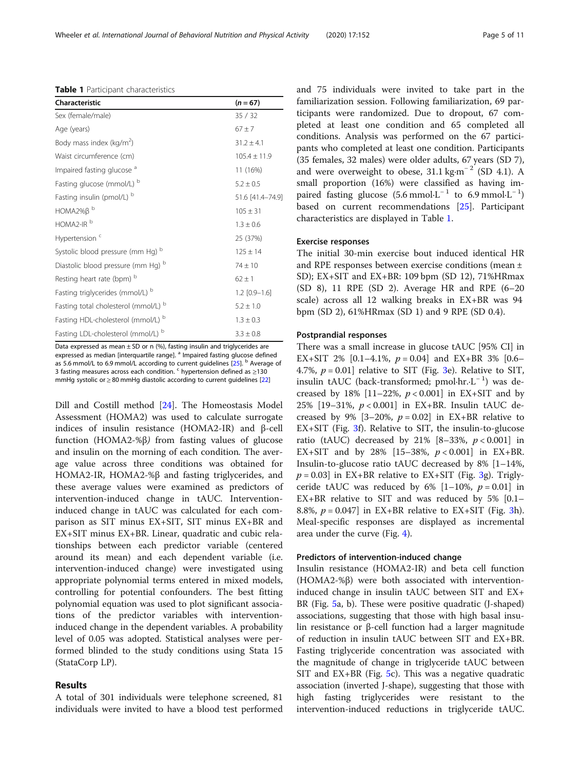Data expressed as mean  $\pm$  SD or n (%), fasting insulin and triglycerides are expressed as median [interquartile range]. <sup>a</sup> Impaired fasting glucose defined as 5.6 mmol/L to 6.9 mmol/L according to current guidelines  $[25]$  $[25]$ . <sup>b</sup> Average of 3 fasting measures across each condition.  $\epsilon$  hypertension defined as  $\geq$ 130 mmHg systolic or ≥ 80 mmHg diastolic according to current guidelines [[22\]](#page-10-0)

Dill and Costill method [[24](#page-10-0)]. The Homeostasis Model Assessment (HOMA2) was used to calculate surrogate indices of insulin resistance (HOMA2-IR) and β-cell function (HOMA2-%β) from fasting values of glucose and insulin on the morning of each condition. The average value across three conditions was obtained for HOMA2-IR, HOMA2-%β and fasting triglycerides, and these average values were examined as predictors of intervention-induced change in tAUC. Interventioninduced change in tAUC was calculated for each comparison as SIT minus EX+SIT, SIT minus EX+BR and EX+SIT minus EX+BR. Linear, quadratic and cubic relationships between each predictor variable (centered around its mean) and each dependent variable (i.e. intervention-induced change) were investigated using appropriate polynomial terms entered in mixed models, controlling for potential confounders. The best fitting polynomial equation was used to plot significant associations of the predictor variables with interventioninduced change in the dependent variables. A probability level of 0.05 was adopted. Statistical analyses were performed blinded to the study conditions using Stata 15 (StataCorp LP).

### Results

A total of 301 individuals were telephone screened, 81 individuals were invited to have a blood test performed and 75 individuals were invited to take part in the familiarization session. Following familiarization, 69 participants were randomized. Due to dropout, 67 completed at least one condition and 65 completed all conditions. Analysis was performed on the 67 participants who completed at least one condition. Participants (35 females, 32 males) were older adults, 67 years (SD 7), and were overweight to obese,  $31.1 \text{ kg}·m^{-2}$  (SD 4.1). A small proportion (16%) were classified as having impaired fasting glucose  $(5.6 \text{ mmol·L}^{-1}$  to  $6.9 \text{ mmol·L}^{-1})$ based on current recommendations [\[25\]](#page-10-0). Participant characteristics are displayed in Table 1.

### Exercise responses

The initial 30-min exercise bout induced identical HR and RPE responses between exercise conditions (mean ± SD); EX+SIT and EX+BR: 109 bpm (SD 12), 71%HRmax (SD 8), 11 RPE (SD 2). Average HR and RPE (6–20 scale) across all 12 walking breaks in EX+BR was 94 bpm (SD 2), 61%HRmax (SD 1) and 9 RPE (SD 0.4).

### Postprandial responses

There was a small increase in glucose tAUC [95% CI] in EX+SIT 2% [0.1–4.1%,  $p = 0.04$ ] and EX+BR 3% [0.6– 4.7%,  $p = 0.01$ ] relative to SIT (Fig. [3e](#page-5-0)). Relative to SIT, insulin tAUC (back-transformed; pmol·hr.·L<sup>-1</sup>) was decreased by 18%  $[11–22\%, p < 0.001]$  in EX+SIT and by 25% [19–31%, p < 0.001] in EX+BR. Insulin tAUC decreased by 9% [3-20%,  $p = 0.02$ ] in EX+BR relative to  $EX+STT$  (Fig. [3f](#page-5-0)). Relative to SIT, the insulin-to-glucose ratio (tAUC) decreased by 21%  $[8-33\%, p < 0.001]$  in EX+SIT and by 28% [15–38%,  $p < 0.001$ ] in EX+BR. Insulin-to-glucose ratio tAUC decreased by 8% [1–14%,  $p = 0.03$ ] in EX+BR relative to EX+SIT (Fig. [3g](#page-5-0)). Triglyceride tAUC was reduced by 6%  $[1-10\%, p=0.01]$  in EX+BR relative to SIT and was reduced by 5% [0.1– 8.8%,  $p = 0.047$  in EX+BR relative to EX+SIT (Fig. [3h](#page-5-0)). Meal-specific responses are displayed as incremental area under the curve (Fig. [4](#page-6-0)).

### Predictors of intervention-induced change

Insulin resistance (HOMA2-IR) and beta cell function (HOMA2-%β) were both associated with interventioninduced change in insulin tAUC between SIT and EX+ BR (Fig. [5](#page-7-0)a, b). These were positive quadratic (J-shaped) associations, suggesting that those with high basal insulin resistance or β-cell function had a larger magnitude of reduction in insulin tAUC between SIT and EX+BR. Fasting triglyceride concentration was associated with the magnitude of change in triglyceride tAUC between SIT and  $EX+BR$  (Fig. [5](#page-7-0)c). This was a negative quadratic association (inverted J-shape), suggesting that those with high fasting triglycerides were resistant to the intervention-induced reductions in triglyceride tAUC.

<span id="page-4-0"></span>Table 1 Participant characteristics

| Characteristic                                | $(n = 67)$       |
|-----------------------------------------------|------------------|
| Sex (female/male)                             | 35/32            |
| Age (years)                                   | $67 + 7$         |
| Body mass index ( $kg/m2$ )                   | $31.2 \pm 4.1$   |
| Waist circumference (cm)                      | $105.4 \pm 11.9$ |
| Impaired fasting glucose <sup>a</sup>         | 11 (16%)         |
| Fasting glucose (mmol/L) b                    | $5.2 \pm 0.5$    |
| Fasting insulin (pmol/L) b                    | 51.6 [41.4-74.9] |
| HOMA2% $\beta$ <sup>b</sup>                   | $105 \pm 31$     |
| HOMA2-IR <sup>b</sup>                         | $1.3 \pm 0.6$    |
| Hypertension <sup>c</sup>                     | 25 (37%)         |
| Systolic blood pressure (mm Hq) b             | $125 \pm 14$     |
| Diastolic blood pressure (mm Hg) <sup>b</sup> | $74 \pm 10$      |
| Resting heart rate (bpm) b                    | $62 \pm 1$       |
| Fasting triglycerides (mmol/L) b              | $1.2$ [0.9-1.6]  |
| Fasting total cholesterol (mmol/L) b          | $5.2 \pm 1.0$    |
| Fasting HDL-cholesterol (mmol/L) b            | $1.3 \pm 0.3$    |
| Fasting LDL-cholesterol (mmol/L) b            | $3.3 \pm 0.8$    |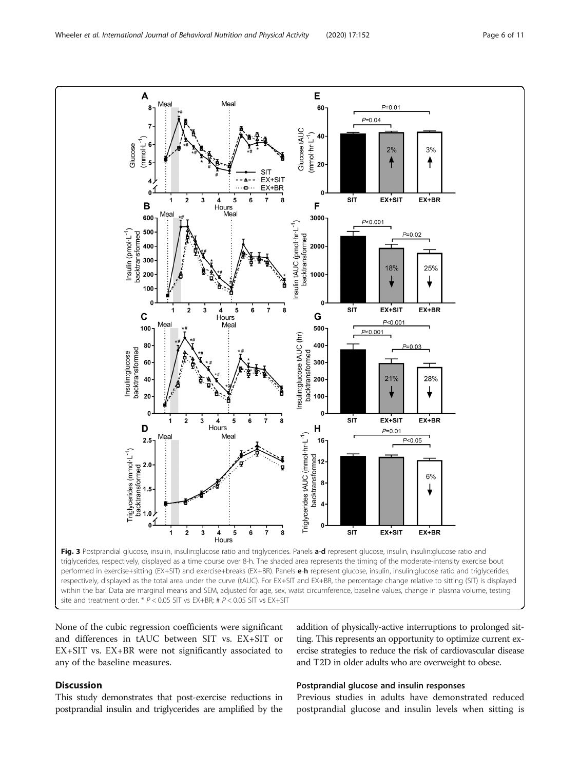<span id="page-5-0"></span>

site and treatment order.  $* P < 0.05$  SIT vs EX+BR; #  $P < 0.05$  SIT vs EX+SIT

None of the cubic regression coefficients were significant and differences in tAUC between SIT vs. EX+SIT or EX+SIT vs. EX+BR were not significantly associated to any of the baseline measures.

### Discussion

This study demonstrates that post-exercise reductions in postprandial insulin and triglycerides are amplified by the

### Postprandial glucose and insulin responses

Previous studies in adults have demonstrated reduced postprandial glucose and insulin levels when sitting is

addition of physically-active interruptions to prolonged sitting. This represents an opportunity to optimize current exercise strategies to reduce the risk of cardiovascular disease and T2D in older adults who are overweight to obese.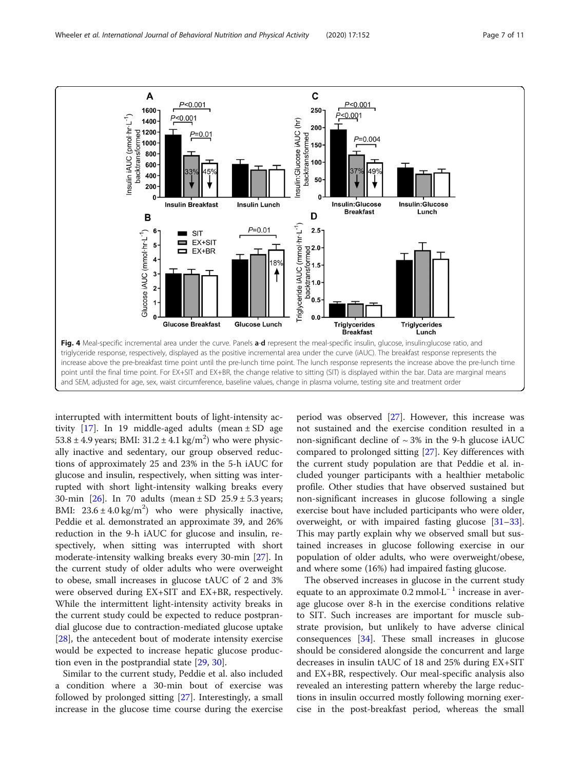<span id="page-6-0"></span>

interrupted with intermittent bouts of light-intensity ac-tivity [\[17\]](#page-10-0). In 19 middle-aged adults (mean  $\pm$  SD age 53.8 ± 4.9 years; BMI:  $31.2 \pm 4.1$  kg/m<sup>2</sup>) who were physically inactive and sedentary, our group observed reductions of approximately 25 and 23% in the 5-h iAUC for glucose and insulin, respectively, when sitting was interrupted with short light-intensity walking breaks every 30-min [[26\]](#page-10-0). In 70 adults (mean  $\pm$  SD 25.9  $\pm$  5.3 years; BMI:  $23.6 \pm 4.0 \text{ kg/m}^2$ ) who were physically inactive, Peddie et al. demonstrated an approximate 39, and 26% reduction in the 9-h iAUC for glucose and insulin, respectively, when sitting was interrupted with short moderate-intensity walking breaks every 30-min [\[27\]](#page-10-0). In the current study of older adults who were overweight to obese, small increases in glucose tAUC of 2 and 3% were observed during EX+SIT and EX+BR, respectively. While the intermittent light-intensity activity breaks in the current study could be expected to reduce postprandial glucose due to contraction-mediated glucose uptake [[28\]](#page-10-0), the antecedent bout of moderate intensity exercise would be expected to increase hepatic glucose production even in the postprandial state [[29,](#page-10-0) [30\]](#page-10-0).

Similar to the current study, Peddie et al. also included a condition where a 30-min bout of exercise was followed by prolonged sitting [\[27](#page-10-0)]. Interestingly, a small increase in the glucose time course during the exercise

period was observed [[27\]](#page-10-0). However, this increase was not sustained and the exercise condition resulted in a non-significant decline of  $\sim$  3% in the 9-h glucose iAUC compared to prolonged sitting [[27](#page-10-0)]. Key differences with the current study population are that Peddie et al. included younger participants with a healthier metabolic profile. Other studies that have observed sustained but non-significant increases in glucose following a single exercise bout have included participants who were older, overweight, or with impaired fasting glucose [[31](#page-10-0)–[33](#page-10-0)]. This may partly explain why we observed small but sustained increases in glucose following exercise in our population of older adults, who were overweight/obese, and where some (16%) had impaired fasting glucose.

The observed increases in glucose in the current study equate to an approximate 0.2 mmol⋅L<sup>-1</sup> increase in average glucose over 8-h in the exercise conditions relative to SIT. Such increases are important for muscle substrate provision, but unlikely to have adverse clinical consequences [\[34](#page-10-0)]. These small increases in glucose should be considered alongside the concurrent and large decreases in insulin tAUC of 18 and 25% during EX+SIT and EX+BR, respectively. Our meal-specific analysis also revealed an interesting pattern whereby the large reductions in insulin occurred mostly following morning exercise in the post-breakfast period, whereas the small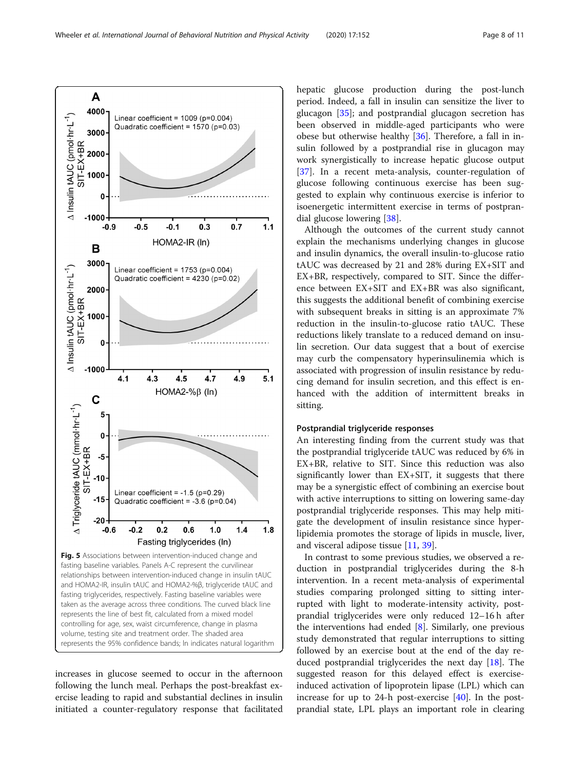increases in glucose seemed to occur in the afternoon following the lunch meal. Perhaps the post-breakfast exercise leading to rapid and substantial declines in insulin initiated a counter-regulatory response that facilitated

Although the outcomes of the current study cannot explain the mechanisms underlying changes in glucose and insulin dynamics, the overall insulin-to-glucose ratio tAUC was decreased by 21 and 28% during EX+SIT and EX+BR, respectively, compared to SIT. Since the difference between EX+SIT and EX+BR was also significant, this suggests the additional benefit of combining exercise with subsequent breaks in sitting is an approximate 7% reduction in the insulin-to-glucose ratio tAUC. These reductions likely translate to a reduced demand on insulin secretion. Our data suggest that a bout of exercise may curb the compensatory hyperinsulinemia which is associated with progression of insulin resistance by reducing demand for insulin secretion, and this effect is enhanced with the addition of intermittent breaks in

### Postprandial triglyceride responses

sitting.

An interesting finding from the current study was that the postprandial triglyceride tAUC was reduced by 6% in EX+BR, relative to SIT. Since this reduction was also significantly lower than EX+SIT, it suggests that there may be a synergistic effect of combining an exercise bout with active interruptions to sitting on lowering same-day postprandial triglyceride responses. This may help mitigate the development of insulin resistance since hyperlipidemia promotes the storage of lipids in muscle, liver, and visceral adipose tissue [[11](#page-10-0), [39](#page-10-0)].

In contrast to some previous studies, we observed a reduction in postprandial triglycerides during the 8-h intervention. In a recent meta-analysis of experimental studies comparing prolonged sitting to sitting interrupted with light to moderate-intensity activity, postprandial triglycerides were only reduced 12–16 h after the interventions had ended  $[8]$  $[8]$ . Similarly, one previous study demonstrated that regular interruptions to sitting followed by an exercise bout at the end of the day reduced postprandial triglycerides the next day [[18\]](#page-10-0). The suggested reason for this delayed effect is exerciseinduced activation of lipoprotein lipase (LPL) which can increase for up to 24-h post-exercise  $[40]$  $[40]$ . In the postprandial state, LPL plays an important role in clearing

<span id="page-7-0"></span>

hepatic glucose production during the post-lunch period. Indeed, a fall in insulin can sensitize the liver to glucagon [[35\]](#page-10-0); and postprandial glucagon secretion has been observed in middle-aged participants who were obese but otherwise healthy [\[36\]](#page-10-0). Therefore, a fall in insulin followed by a postprandial rise in glucagon may work synergistically to increase hepatic glucose output [[37\]](#page-10-0). In a recent meta-analysis, counter-regulation of glucose following continuous exercise has been suggested to explain why continuous exercise is inferior to isoenergetic intermittent exercise in terms of postprandial glucose lowering [\[38\]](#page-10-0).

Linear coefficient =  $1009$  (p=0.004)

Quadratic coefficient = 1570 (p=0.03)

 $\mathbf{A}$ 4000

3000

1000

 $\mathbf{0}$ 

 $SIT-EX+BR$ 2000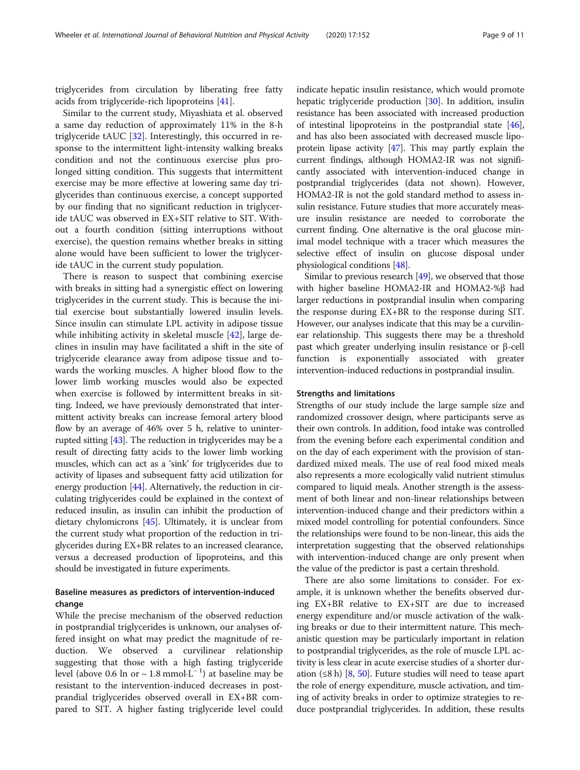triglycerides from circulation by liberating free fatty acids from triglyceride-rich lipoproteins [[41\]](#page-10-0).

Similar to the current study, Miyashiata et al. observed a same day reduction of approximately 11% in the 8-h triglyceride tAUC [[32\]](#page-10-0). Interestingly, this occurred in response to the intermittent light-intensity walking breaks condition and not the continuous exercise plus prolonged sitting condition. This suggests that intermittent exercise may be more effective at lowering same day triglycerides than continuous exercise, a concept supported by our finding that no significant reduction in triglyceride tAUC was observed in EX+SIT relative to SIT. Without a fourth condition (sitting interruptions without exercise), the question remains whether breaks in sitting alone would have been sufficient to lower the triglyceride tAUC in the current study population.

There is reason to suspect that combining exercise with breaks in sitting had a synergistic effect on lowering triglycerides in the current study. This is because the initial exercise bout substantially lowered insulin levels. Since insulin can stimulate LPL activity in adipose tissue while inhibiting activity in skeletal muscle [\[42\]](#page-10-0), large declines in insulin may have facilitated a shift in the site of triglyceride clearance away from adipose tissue and towards the working muscles. A higher blood flow to the lower limb working muscles would also be expected when exercise is followed by intermittent breaks in sitting. Indeed, we have previously demonstrated that intermittent activity breaks can increase femoral artery blood flow by an average of 46% over 5 h, relative to uninterrupted sitting [\[43\]](#page-10-0). The reduction in triglycerides may be a result of directing fatty acids to the lower limb working muscles, which can act as a 'sink' for triglycerides due to activity of lipases and subsequent fatty acid utilization for energy production [\[44\]](#page-10-0). Alternatively, the reduction in circulating triglycerides could be explained in the context of reduced insulin, as insulin can inhibit the production of dietary chylomicrons [\[45](#page-10-0)]. Ultimately, it is unclear from the current study what proportion of the reduction in triglycerides during EX+BR relates to an increased clearance, versus a decreased production of lipoproteins, and this should be investigated in future experiments.

### Baseline measures as predictors of intervention-induced change

While the precise mechanism of the observed reduction in postprandial triglycerides is unknown, our analyses offered insight on what may predict the magnitude of reduction. We observed a curvilinear relationship suggesting that those with a high fasting triglyceride level (above 0.6 ln or ~ 1.8 mmol⋅L<sup>-1</sup>) at baseline may be resistant to the intervention-induced decreases in postprandial triglycerides observed overall in EX+BR compared to SIT. A higher fasting triglyceride level could indicate hepatic insulin resistance, which would promote hepatic triglyceride production [[30\]](#page-10-0). In addition, insulin resistance has been associated with increased production of intestinal lipoproteins in the postprandial state [[46](#page-10-0)], and has also been associated with decreased muscle lipoprotein lipase activity [[47](#page-10-0)]. This may partly explain the current findings, although HOMA2-IR was not significantly associated with intervention-induced change in postprandial triglycerides (data not shown). However, HOMA2-IR is not the gold standard method to assess insulin resistance. Future studies that more accurately measure insulin resistance are needed to corroborate the current finding. One alternative is the oral glucose minimal model technique with a tracer which measures the selective effect of insulin on glucose disposal under physiological conditions [\[48](#page-10-0)].

Similar to previous research [[49](#page-10-0)], we observed that those with higher baseline HOMA2-IR and HOMA2-%β had larger reductions in postprandial insulin when comparing the response during EX+BR to the response during SIT. However, our analyses indicate that this may be a curvilinear relationship. This suggests there may be a threshold past which greater underlying insulin resistance or β-cell function is exponentially associated with greater intervention-induced reductions in postprandial insulin.

### Strengths and limitations

Strengths of our study include the large sample size and randomized crossover design, where participants serve as their own controls. In addition, food intake was controlled from the evening before each experimental condition and on the day of each experiment with the provision of standardized mixed meals. The use of real food mixed meals also represents a more ecologically valid nutrient stimulus compared to liquid meals. Another strength is the assessment of both linear and non-linear relationships between intervention-induced change and their predictors within a mixed model controlling for potential confounders. Since the relationships were found to be non-linear, this aids the interpretation suggesting that the observed relationships with intervention-induced change are only present when the value of the predictor is past a certain threshold.

There are also some limitations to consider. For example, it is unknown whether the benefits observed during EX+BR relative to EX+SIT are due to increased energy expenditure and/or muscle activation of the walking breaks or due to their intermittent nature. This mechanistic question may be particularly important in relation to postprandial triglycerides, as the role of muscle LPL activity is less clear in acute exercise studies of a shorter duration ( $\leq$ 8 h) [\[8](#page-10-0), [50\]](#page-10-0). Future studies will need to tease apart the role of energy expenditure, muscle activation, and timing of activity breaks in order to optimize strategies to reduce postprandial triglycerides. In addition, these results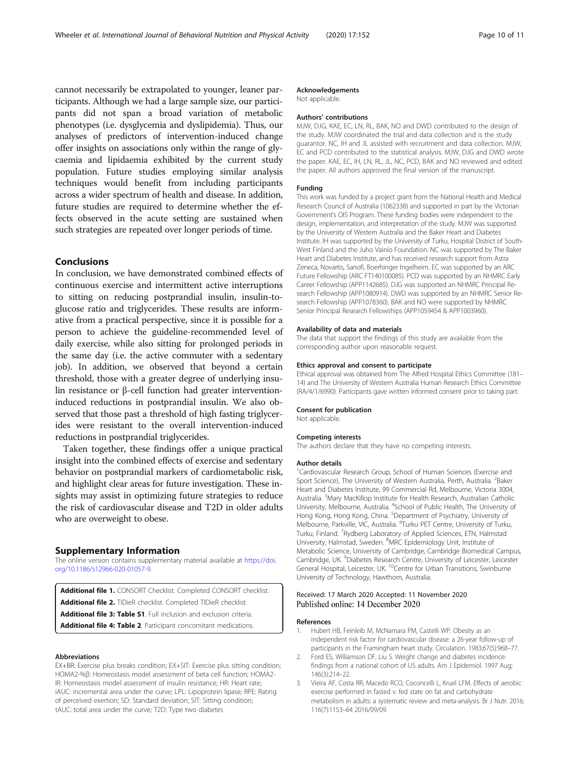<span id="page-9-0"></span>cannot necessarily be extrapolated to younger, leaner participants. Although we had a large sample size, our participants did not span a broad variation of metabolic phenotypes (i.e. dysglycemia and dyslipidemia). Thus, our analyses of predictors of intervention-induced change offer insights on associations only within the range of glycaemia and lipidaemia exhibited by the current study population. Future studies employing similar analysis techniques would benefit from including participants across a wider spectrum of health and disease. In addition, future studies are required to determine whether the effects observed in the acute setting are sustained when such strategies are repeated over longer periods of time.

### Conclusions

In conclusion, we have demonstrated combined effects of continuous exercise and intermittent active interruptions to sitting on reducing postprandial insulin, insulin-toglucose ratio and triglycerides. These results are informative from a practical perspective, since it is possible for a person to achieve the guideline-recommended level of daily exercise, while also sitting for prolonged periods in the same day (i.e. the active commuter with a sedentary job). In addition, we observed that beyond a certain threshold, those with a greater degree of underlying insulin resistance or β-cell function had greater interventioninduced reductions in postprandial insulin. We also observed that those past a threshold of high fasting triglycerides were resistant to the overall intervention-induced reductions in postprandial triglycerides.

Taken together, these findings offer a unique practical insight into the combined effects of exercise and sedentary behavior on postprandial markers of cardiometabolic risk, and highlight clear areas for future investigation. These insights may assist in optimizing future strategies to reduce the risk of cardiovascular disease and T2D in older adults who are overweight to obese.

### Supplementary Information

The online version contains supplementary material available at [https://doi.](https://doi.org/10.1186/s12966-020-01057-9) [org/10.1186/s12966-020-01057-9.](https://doi.org/10.1186/s12966-020-01057-9)

Additional file 1. CONSORT Checklist. Completed CONSORT checklist.

Additional file 2. TIDieR checklist. Completed TIDieR checklist.

Additional file 3: Table S1. Full inclusion and exclusion criteria.

Additional file 4: Table 2. Participant concomitant medications.

### Abbreviations

EX+BR: Exercise plus breaks condition; EX+SIT: Exercise plus sitting condition; HOMA2-%β: Homeostasis model assessment of beta cell function; HOMA2- IR: Homeostasis model assessment of insulin resistance; HR: Heart rate; iAUC: incremental area under the curve; LPL: Lipoprotein lipase; RPE: Rating of perceived exertion; SD: Standard deviation; SIT: Sitting condition; tAUC: total area under the curve; T2D: Type two diabetes

### Acknowledgements

Not applicable.

### Authors' contributions

MJW, DJG, KAE, EC, LN, RL, BAK, NO and DWD contributed to the design of the study. MJW coordinated the trial and data collection and is the study guarantor. NC, IH and JL assisted with recruitment and data collection. MJW, EC and PCD contributed to the statistical analysis. MJW, DJG and DWD wrote the paper. KAE, EC, IH, LN, RL, JL, NC, PCD, BAK and NO reviewed and edited the paper. All authors approved the final version of the manuscript.

### Funding

This work was funded by a project grant from the National Health and Medical Research Council of Australia (1062338) and supported in part by the Victorian Government's OIS Program. These funding bodies were independent to the design, implementation, and interpretation of the study. MJW was supported by the University of Western Australia and the Baker Heart and Diabetes Institute. IH was supported by the University of Turku, Hospital District of South-West Finland and the Juho Vainio Foundation. NC was supported by The Baker Heart and Diabetes Institute, and has received research support from Astra Zeneca, Novartis, Sanofi, Boerhinger Ingelheim. EC was supported by an ARC Future Fellowship (ARC FT140100085). PCD was supported by an NHMRC Early Career Fellowship (APP1142685). DJG was supported an NHMRC Principal Research Fellowship (APP1080914). DWD was supported by an NHMRC Senior Research Fellowship (APP1078360). BAK and NO were supported by NHMRC Senior Principal Research Fellowships (APP1059454 & APP1003960).

#### Availability of data and materials

The data that support the findings of this study are available from the corresponding author upon reasonable request.

### Ethics approval and consent to participate

Ethical approval was obtained from The Alfred Hospital Ethics Committee (181– 14) and The University of Western Australia Human Research Ethics Committee (RA/4/1/6990). Participants gave written informed consent prior to taking part.

### Consent for publication

Not applicable.

### Competing interests

The authors declare that they have no competing interests.

#### Author details

<sup>1</sup> Cardiovascular Research Group, School of Human Sciences (Exercise and Sport Science), The University of Western Australia, Perth, Australia. <sup>2</sup>Baker Heart and Diabetes Institute, 99 Commercial Rd, Melbourne, Victoria 3004, Australia. <sup>3</sup>Mary MacKillop Institute for Health Research, Australian Catholic University, Melbourne, Australia. <sup>4</sup>School of Public Health, The University of Hong Kong, Hong Kong, China. <sup>5</sup>Department of Psychiatry, University of Melbourne, Parkville, VIC, Australia. <sup>6</sup>Turku PET Centre, University of Turku, Turku, Finland. <sup>7</sup>Rydberg Laboratory of Applied Sciences, ETN, Halmstad University, Halmstad, Sweden. <sup>8</sup>MRC Epidemiology Unit, Institute of Metabolic Science, University of Cambridge, Cambridge Biomedical Campus, Cambridge, UK. <sup>9</sup>Diabetes Research Centre, University of Leicester, Leicester General Hospital, Leicester, UK. 10Centre for Urban Transitions, Swinburne University of Technology, Hawthorn, Australia.

### Received: 17 March 2020 Accepted: 11 November 2020 Published online: 14 December 2020

### References

- 1. Hubert HB, Feinleib M, McNamara PM, Castelli WP. Obesity as an independent risk factor for cardiovascular disease: a 26-year follow-up of participants in the Framingham heart study. Circulation. 1983;67(5):968–77.
- 2. Ford ES, Williamson DF, Liu S. Weight change and diabetes incidence: findings from a national cohort of US adults. Am J Epidemiol. 1997 Aug; 146(3):214–22.
- 3. Vieira AF, Costa RR, Macedo RCO, Coconcelli L, Kruel LFM. Effects of aerobic exercise performed in fasted v. fed state on fat and carbohydrate metabolism in adults: a systematic review and meta-analysis. Br J Nutr. 2016; 116(7):1153–64 2016/09/09.